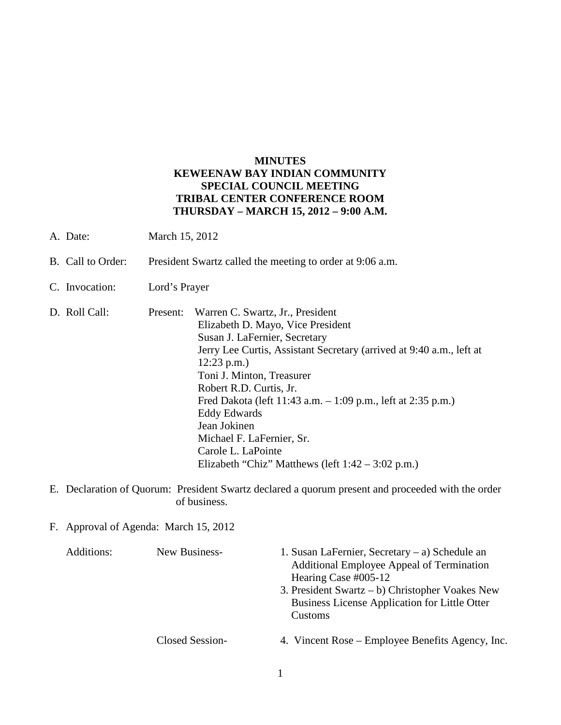## **MINUTES KEWEENAW BAY INDIAN COMMUNITY SPECIAL COUNCIL MEETING TRIBAL CENTER CONFERENCE ROOM THURSDAY – MARCH 15, 2012 – 9:00 A.M.**

- A. Date: March 15, 2012
- B. Call to Order: President Swartz called the meeting to order at 9:06 a.m.
- C. Invocation: Lord's Prayer
- D. Roll Call: Present: Warren C. Swartz, Jr., President Elizabeth D. Mayo, Vice President Susan J. LaFernier, Secretary Jerry Lee Curtis, Assistant Secretary (arrived at 9:40 a.m., left at 12:23 p.m.) Toni J. Minton, Treasurer Robert R.D. Curtis, Jr. Fred Dakota (left 11:43 a.m. – 1:09 p.m., left at 2:35 p.m.) Eddy Edwards Jean Jokinen Michael F. LaFernier, Sr. Carole L. LaPointe Elizabeth "Chiz" Matthews (left 1:42 – 3:02 p.m.)
- E. Declaration of Quorum: President Swartz declared a quorum present and proceeded with the order of business.
- F. Approval of Agenda: March 15, 2012

| Additions: | New Business-   | 1. Susan LaFernier, Secretary – a) Schedule an<br>Additional Employee Appeal of Termination<br>Hearing Case #005-12<br>3. President Swartz – b) Christopher Voakes New<br><b>Business License Application for Little Otter</b><br>Customs |
|------------|-----------------|-------------------------------------------------------------------------------------------------------------------------------------------------------------------------------------------------------------------------------------------|
|            | Closed Session- | 4. Vincent Rose – Employee Benefits Agency, Inc.                                                                                                                                                                                          |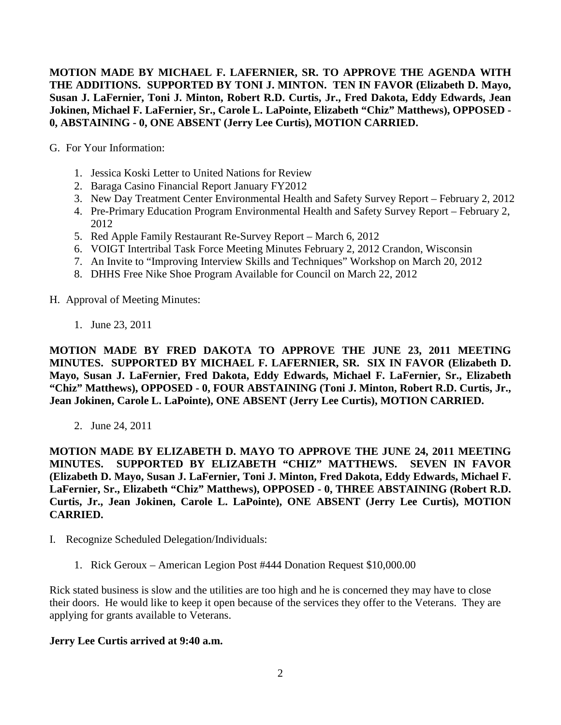**MOTION MADE BY MICHAEL F. LAFERNIER, SR. TO APPROVE THE AGENDA WITH THE ADDITIONS. SUPPORTED BY TONI J. MINTON. TEN IN FAVOR (Elizabeth D. Mayo, Susan J. LaFernier, Toni J. Minton, Robert R.D. Curtis, Jr., Fred Dakota, Eddy Edwards, Jean Jokinen, Michael F. LaFernier, Sr., Carole L. LaPointe, Elizabeth "Chiz" Matthews), OPPOSED - 0, ABSTAINING - 0, ONE ABSENT (Jerry Lee Curtis), MOTION CARRIED.**

G. For Your Information:

- 1. Jessica Koski Letter to United Nations for Review
- 2. Baraga Casino Financial Report January FY2012
- 3. New Day Treatment Center Environmental Health and Safety Survey Report February 2, 2012
- 4. Pre-Primary Education Program Environmental Health and Safety Survey Report February 2, 2012
- 5. Red Apple Family Restaurant Re-Survey Report March 6, 2012
- 6. VOIGT Intertribal Task Force Meeting Minutes February 2, 2012 Crandon, Wisconsin
- 7. An Invite to "Improving Interview Skills and Techniques" Workshop on March 20, 2012
- 8. DHHS Free Nike Shoe Program Available for Council on March 22, 2012

H. Approval of Meeting Minutes:

1. June 23, 2011

**MOTION MADE BY FRED DAKOTA TO APPROVE THE JUNE 23, 2011 MEETING MINUTES. SUPPORTED BY MICHAEL F. LAFERNIER, SR. SIX IN FAVOR (Elizabeth D. Mayo, Susan J. LaFernier, Fred Dakota, Eddy Edwards, Michael F. LaFernier, Sr., Elizabeth "Chiz" Matthews), OPPOSED - 0, FOUR ABSTAINING (Toni J. Minton, Robert R.D. Curtis, Jr., Jean Jokinen, Carole L. LaPointe), ONE ABSENT (Jerry Lee Curtis), MOTION CARRIED.**

2. June 24, 2011

**MOTION MADE BY ELIZABETH D. MAYO TO APPROVE THE JUNE 24, 2011 MEETING MINUTES. SUPPORTED BY ELIZABETH "CHIZ" MATTHEWS. SEVEN IN FAVOR (Elizabeth D. Mayo, Susan J. LaFernier, Toni J. Minton, Fred Dakota, Eddy Edwards, Michael F. LaFernier, Sr., Elizabeth "Chiz" Matthews), OPPOSED - 0, THREE ABSTAINING (Robert R.D. Curtis, Jr., Jean Jokinen, Carole L. LaPointe), ONE ABSENT (Jerry Lee Curtis), MOTION CARRIED.**

- I. Recognize Scheduled Delegation/Individuals:
	- 1. Rick Geroux American Legion Post #444 Donation Request \$10,000.00

Rick stated business is slow and the utilities are too high and he is concerned they may have to close their doors. He would like to keep it open because of the services they offer to the Veterans. They are applying for grants available to Veterans.

### **Jerry Lee Curtis arrived at 9:40 a.m.**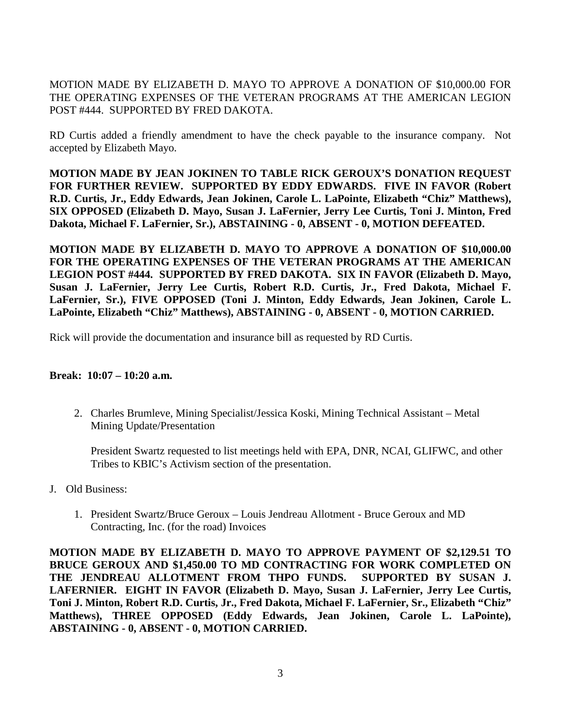MOTION MADE BY ELIZABETH D. MAYO TO APPROVE A DONATION OF \$10,000.00 FOR THE OPERATING EXPENSES OF THE VETERAN PROGRAMS AT THE AMERICAN LEGION POST #444. SUPPORTED BY FRED DAKOTA.

RD Curtis added a friendly amendment to have the check payable to the insurance company. Not accepted by Elizabeth Mayo.

**MOTION MADE BY JEAN JOKINEN TO TABLE RICK GEROUX'S DONATION REQUEST FOR FURTHER REVIEW. SUPPORTED BY EDDY EDWARDS. FIVE IN FAVOR (Robert R.D. Curtis, Jr., Eddy Edwards, Jean Jokinen, Carole L. LaPointe, Elizabeth "Chiz" Matthews), SIX OPPOSED (Elizabeth D. Mayo, Susan J. LaFernier, Jerry Lee Curtis, Toni J. Minton, Fred Dakota, Michael F. LaFernier, Sr.), ABSTAINING - 0, ABSENT - 0, MOTION DEFEATED.**

**MOTION MADE BY ELIZABETH D. MAYO TO APPROVE A DONATION OF \$10,000.00 FOR THE OPERATING EXPENSES OF THE VETERAN PROGRAMS AT THE AMERICAN LEGION POST #444. SUPPORTED BY FRED DAKOTA. SIX IN FAVOR (Elizabeth D. Mayo, Susan J. LaFernier, Jerry Lee Curtis, Robert R.D. Curtis, Jr., Fred Dakota, Michael F. LaFernier, Sr.), FIVE OPPOSED (Toni J. Minton, Eddy Edwards, Jean Jokinen, Carole L. LaPointe, Elizabeth "Chiz" Matthews), ABSTAINING - 0, ABSENT - 0, MOTION CARRIED.**

Rick will provide the documentation and insurance bill as requested by RD Curtis.

### **Break: 10:07 – 10:20 a.m.**

2. Charles Brumleve, Mining Specialist/Jessica Koski, Mining Technical Assistant – Metal Mining Update/Presentation

President Swartz requested to list meetings held with EPA, DNR, NCAI, GLIFWC, and other Tribes to KBIC's Activism section of the presentation.

- J. Old Business:
	- 1. President Swartz/Bruce Geroux Louis Jendreau Allotment Bruce Geroux and MD Contracting, Inc. (for the road) Invoices

**MOTION MADE BY ELIZABETH D. MAYO TO APPROVE PAYMENT OF \$2,129.51 TO BRUCE GEROUX AND \$1,450.00 TO MD CONTRACTING FOR WORK COMPLETED ON THE JENDREAU ALLOTMENT FROM THPO FUNDS. SUPPORTED BY SUSAN J. LAFERNIER. EIGHT IN FAVOR (Elizabeth D. Mayo, Susan J. LaFernier, Jerry Lee Curtis, Toni J. Minton, Robert R.D. Curtis, Jr., Fred Dakota, Michael F. LaFernier, Sr., Elizabeth "Chiz" Matthews), THREE OPPOSED (Eddy Edwards, Jean Jokinen, Carole L. LaPointe), ABSTAINING - 0, ABSENT - 0, MOTION CARRIED.**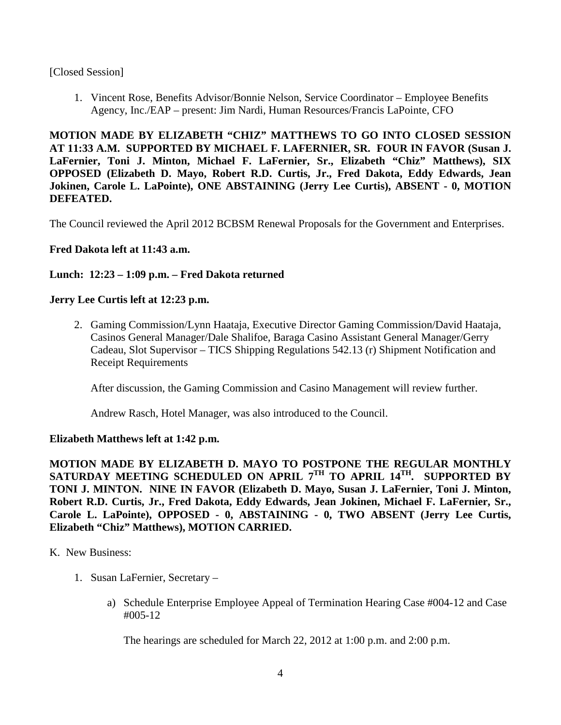### [Closed Session]

1. Vincent Rose, Benefits Advisor/Bonnie Nelson, Service Coordinator – Employee Benefits Agency, Inc./EAP – present: Jim Nardi, Human Resources/Francis LaPointe, CFO

**MOTION MADE BY ELIZABETH "CHIZ" MATTHEWS TO GO INTO CLOSED SESSION AT 11:33 A.M. SUPPORTED BY MICHAEL F. LAFERNIER, SR. FOUR IN FAVOR (Susan J. LaFernier, Toni J. Minton, Michael F. LaFernier, Sr., Elizabeth "Chiz" Matthews), SIX OPPOSED (Elizabeth D. Mayo, Robert R.D. Curtis, Jr., Fred Dakota, Eddy Edwards, Jean Jokinen, Carole L. LaPointe), ONE ABSTAINING (Jerry Lee Curtis), ABSENT - 0, MOTION DEFEATED.**

The Council reviewed the April 2012 BCBSM Renewal Proposals for the Government and Enterprises.

# **Fred Dakota left at 11:43 a.m.**

## **Lunch: 12:23 – 1:09 p.m. – Fred Dakota returned**

### **Jerry Lee Curtis left at 12:23 p.m.**

2. Gaming Commission/Lynn Haataja, Executive Director Gaming Commission/David Haataja, Casinos General Manager/Dale Shalifoe, Baraga Casino Assistant General Manager/Gerry Cadeau, Slot Supervisor – TICS Shipping Regulations 542.13 (r) Shipment Notification and Receipt Requirements

After discussion, the Gaming Commission and Casino Management will review further.

Andrew Rasch, Hotel Manager, was also introduced to the Council.

### **Elizabeth Matthews left at 1:42 p.m.**

**MOTION MADE BY ELIZABETH D. MAYO TO POSTPONE THE REGULAR MONTHLY SATURDAY MEETING SCHEDULED ON APRIL 7TH TO APRIL 14TH. SUPPORTED BY TONI J. MINTON. NINE IN FAVOR (Elizabeth D. Mayo, Susan J. LaFernier, Toni J. Minton, Robert R.D. Curtis, Jr., Fred Dakota, Eddy Edwards, Jean Jokinen, Michael F. LaFernier, Sr., Carole L. LaPointe), OPPOSED - 0, ABSTAINING - 0, TWO ABSENT (Jerry Lee Curtis, Elizabeth "Chiz" Matthews), MOTION CARRIED.**

#### K. New Business:

- 1. Susan LaFernier, Secretary
	- a) Schedule Enterprise Employee Appeal of Termination Hearing Case #004-12 and Case #005-12

The hearings are scheduled for March 22, 2012 at 1:00 p.m. and 2:00 p.m.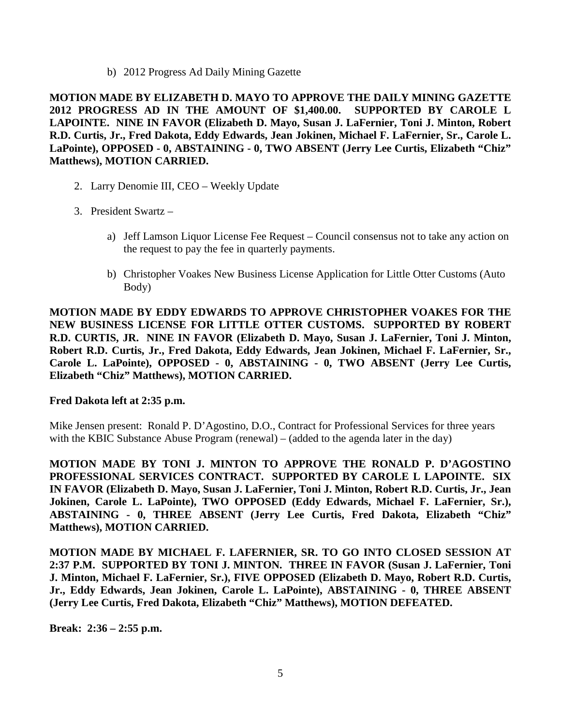b) 2012 Progress Ad Daily Mining Gazette

**MOTION MADE BY ELIZABETH D. MAYO TO APPROVE THE DAILY MINING GAZETTE 2012 PROGRESS AD IN THE AMOUNT OF \$1,400.00. SUPPORTED BY CAROLE L LAPOINTE. NINE IN FAVOR (Elizabeth D. Mayo, Susan J. LaFernier, Toni J. Minton, Robert R.D. Curtis, Jr., Fred Dakota, Eddy Edwards, Jean Jokinen, Michael F. LaFernier, Sr., Carole L. LaPointe), OPPOSED - 0, ABSTAINING - 0, TWO ABSENT (Jerry Lee Curtis, Elizabeth "Chiz" Matthews), MOTION CARRIED.**

- 2. Larry Denomie III, CEO Weekly Update
- 3. President Swartz
	- a) Jeff Lamson Liquor License Fee Request Council consensus not to take any action on the request to pay the fee in quarterly payments.
	- b) Christopher Voakes New Business License Application for Little Otter Customs (Auto Body)

**MOTION MADE BY EDDY EDWARDS TO APPROVE CHRISTOPHER VOAKES FOR THE NEW BUSINESS LICENSE FOR LITTLE OTTER CUSTOMS. SUPPORTED BY ROBERT R.D. CURTIS, JR. NINE IN FAVOR (Elizabeth D. Mayo, Susan J. LaFernier, Toni J. Minton, Robert R.D. Curtis, Jr., Fred Dakota, Eddy Edwards, Jean Jokinen, Michael F. LaFernier, Sr., Carole L. LaPointe), OPPOSED - 0, ABSTAINING - 0, TWO ABSENT (Jerry Lee Curtis, Elizabeth "Chiz" Matthews), MOTION CARRIED.**

### **Fred Dakota left at 2:35 p.m.**

Mike Jensen present: Ronald P. D'Agostino, D.O., Contract for Professional Services for three years with the KBIC Substance Abuse Program (renewal) – (added to the agenda later in the day)

**MOTION MADE BY TONI J. MINTON TO APPROVE THE RONALD P. D'AGOSTINO PROFESSIONAL SERVICES CONTRACT. SUPPORTED BY CAROLE L LAPOINTE. SIX IN FAVOR (Elizabeth D. Mayo, Susan J. LaFernier, Toni J. Minton, Robert R.D. Curtis, Jr., Jean Jokinen, Carole L. LaPointe), TWO OPPOSED (Eddy Edwards, Michael F. LaFernier, Sr.), ABSTAINING - 0, THREE ABSENT (Jerry Lee Curtis, Fred Dakota, Elizabeth "Chiz" Matthews), MOTION CARRIED.**

**MOTION MADE BY MICHAEL F. LAFERNIER, SR. TO GO INTO CLOSED SESSION AT 2:37 P.M. SUPPORTED BY TONI J. MINTON. THREE IN FAVOR (Susan J. LaFernier, Toni J. Minton, Michael F. LaFernier, Sr.), FIVE OPPOSED (Elizabeth D. Mayo, Robert R.D. Curtis, Jr., Eddy Edwards, Jean Jokinen, Carole L. LaPointe), ABSTAINING - 0, THREE ABSENT (Jerry Lee Curtis, Fred Dakota, Elizabeth "Chiz" Matthews), MOTION DEFEATED.**

**Break: 2:36 – 2:55 p.m.**